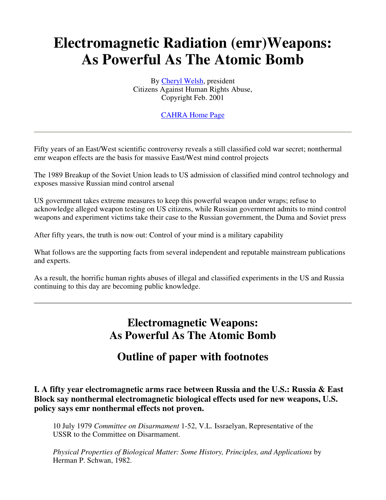# **Electromagnetic Radiation (emr)Weapons: As Powerful As The Atomic Bomb**

By Cheryl Welsh, president Citizens Against Human Rights Abuse, Copyright Feb. 2001

CAHRA Home Page

Fifty years of an East/West scientific controversy reveals a still classified cold war secret; nonthermal emr weapon effects are the basis for massive East/West mind control projects

The 1989 Breakup of the Soviet Union leads to US admission of classified mind control technology and exposes massive Russian mind control arsenal

US government takes extreme measures to keep this powerful weapon under wraps; refuse to acknowledge alleged weapon testing on US citizens, while Russian government admits to mind control weapons and experiment victims take their case to the Russian government, the Duma and Soviet press

After fifty years, the truth is now out: Control of your mind is a military capability

What follows are the supporting facts from several independent and reputable mainstream publications and experts.

As a result, the horrific human rights abuses of illegal and classified experiments in the US and Russia continuing to this day are becoming public knowledge.

# **Electromagnetic Weapons: As Powerful As The Atomic Bomb**

# **Outline of paper with footnotes**

**I. A fifty year electromagnetic arms race between Russia and the U.S.: Russia & East Block say nonthermal electromagnetic biological effects used for new weapons, U.S. policy says emr nonthermal effects not proven.**

10 July 1979 *Committee on Disarmament* 1-52, V.L. Issraelyan, Representative of the USSR to the Committee on Disarmament.

*Physical Properties of Biological Matter: Some History, Principles, and Applications* by Herman P. Schwan, 1982.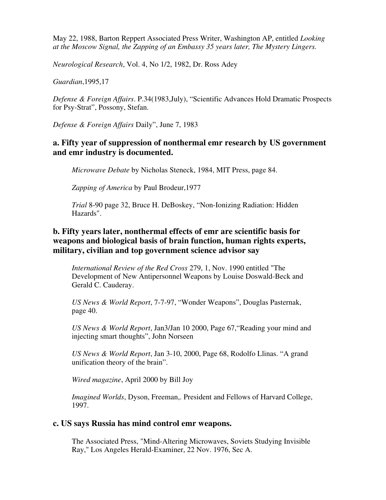May 22, 1988, Barton Reppert Associated Press Writer, Washington AP, entitled *Looking at the Moscow Signal, the Zapping of an Embassy 35 years later, The Mystery Lingers.*

*Neurological Research*, Vol. 4, No 1/2, 1982, Dr. Ross Adey

*Guardian*,1995,17

*Defense & Foreign Affairs*. P.34(1983,July), "Scientific Advances Hold Dramatic Prospects for Psy-Strat", Possony, Stefan.

*Defense & Foreign Affairs* Daily", June 7, 1983

# **a. Fifty year of suppression of nonthermal emr research by US government and emr industry is documented.**

*Microwave Debate* by Nicholas Steneck, 1984, MIT Press, page 84.

*Zapping of America* by Paul Brodeur,1977

*Trial* 8-90 page 32, Bruce H. DeBoskey, "Non-Ionizing Radiation: Hidden Hazards".

# **b. Fifty years later, nonthermal effects of emr are scientific basis for weapons and biological basis of brain function, human rights experts, military, civilian and top government science advisor say**

*International Review of the Red Cross* 279, 1, Nov. 1990 entitled "The Development of New Antipersonnel Weapons by Louise Doswald-Beck and Gerald C. Cauderay.

*US News & World Report*, 7-7-97, "Wonder Weapons", Douglas Pasternak, page 40.

*US News & World Report*, Jan3/Jan 10 2000, Page 67,"Reading your mind and injecting smart thoughts", John Norseen

*US News & World Report*, Jan 3-10, 2000, Page 68, Rodolfo Llinas. "A grand unification theory of the brain".

*Wired magazine*, April 2000 by Bill Joy

*Imagined Worlds*, Dyson, Freeman,. President and Fellows of Harvard College, 1997.

#### **c. US says Russia has mind control emr weapons.**

The Associated Press, "Mind-Altering Microwaves, Soviets Studying Invisible Ray," Los Angeles Herald-Examiner, 22 Nov. 1976, Sec A.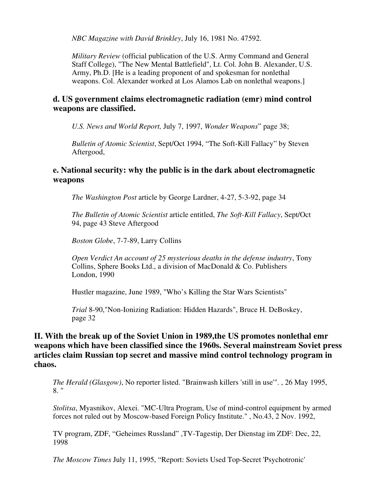*NBC Magazine with David Brinkley*, July 16, 1981 No. 47592.

*Military Review* (official publication of the U.S. Army Command and General Staff College), "The New Mental Battlefield", Lt. Col. John B. Alexander, U.S. Army, Ph.D. [He is a leading proponent of and spokesman for nonlethal weapons. Col. Alexander worked at Los Alamos Lab on nonlethal weapons.]

# **d. US government claims electromagnetic radiation (emr) mind control weapons are classified.**

*U.S. News and World Report,* July 7, 1997, *Wonder Weapons*" page 38;

*Bulletin of Atomic Scientist*, Sept/Oct 1994, "The Soft-Kill Fallacy" by Steven Aftergood,

# **e. National security: why the public is in the dark about electromagnetic weapons**

*The Washington Post* article by George Lardner, 4-27, 5-3-92, page 34

*The Bulletin of Atomic Scientist* article entitled, *The Soft-Kill Fallacy*, Sept/Oct 94, page 43 Steve Aftergood

*Boston Globe*, 7-7-89, Larry Collins

*Open Verdict An account of 25 mysterious deaths in the defense industry*, Tony Collins, Sphere Books Ltd., a division of MacDonald & Co. Publishers London, 1990

Hustler magazine, June 1989, "Who's Killing the Star Wars Scientists"

*Trial* 8-90,"Non-Ionizing Radiation: Hidden Hazards", Bruce H. DeBoskey, page 32

# **II. With the break up of the Soviet Union in 1989,the US promotes nonlethal emr weapons which have been classified since the 1960s. Several mainstream Soviet press articles claim Russian top secret and massive mind control technology program in chaos.**

*The Herald (Glasgow)*, No reporter listed. "Brainwash killers 'still in use'". , 26 May 1995, 8. "

*Stolitsa*, Myasnikov, Alexei. "MC-Ultra Program, Use of mind-control equipment by armed forces not ruled out by Moscow-based Foreign Policy Institute." , No.43, 2 Nov. 1992,

TV program, ZDF, "Geheimes Russland" ,TV-Tagestip, Der Dienstag im ZDF: Dec, 22, 1998

*The Moscow Times* July 11, 1995, "Report: Soviets Used Top-Secret 'Psychotronic'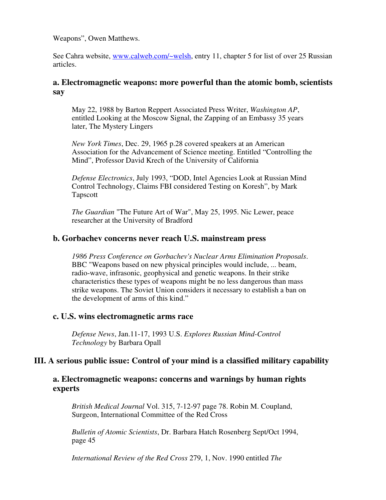Weapons", Owen Matthews.

See Cahra website, www.calweb.com/~welsh, entry 11, chapter 5 for list of over 25 Russian articles.

#### **a. Electromagnetic weapons: more powerful than the atomic bomb, scientists say**

May 22, 1988 by Barton Reppert Associated Press Writer, *Washington AP*, entitled Looking at the Moscow Signal, the Zapping of an Embassy 35 years later, The Mystery Lingers

*New York Times*, Dec. 29, 1965 p.28 covered speakers at an American Association for the Advancement of Science meeting. Entitled "Controlling the Mind", Professor David Krech of the University of California

*Defense Electronics*, July 1993, "DOD, Intel Agencies Look at Russian Mind Control Technology, Claims FBI considered Testing on Koresh", by Mark Tapscott

*The Guardian* "The Future Art of War", May 25, 1995. Nic Lewer, peace researcher at the University of Bradford

#### **b. Gorbachev concerns never reach U.S. mainstream press**

*1986 Press Conference on Gorbachev's Nuclear Arms Elimination Proposals*. BBC "Weapons based on new physical principles would include, ... beam, radio-wave, infrasonic, geophysical and genetic weapons. In their strike characteristics these types of weapons might be no less dangerous than mass strike weapons. The Soviet Union considers it necessary to establish a ban on the development of arms of this kind."

#### **c. U.S. wins electromagnetic arms race**

*Defense News*, Jan.11-17, 1993 U.S. *Explores Russian Mind-Control Technology* by Barbara Opall

#### **III. A serious public issue: Control of your mind is a classified military capability**

# **a. Electromagnetic weapons: concerns and warnings by human rights experts**

*British Medical Journal* Vol. 315, 7-12-97 page 78. Robin M. Coupland, Surgeon, International Committee of the Red Cross

*Bulletin of Atomic Scientists*, Dr. Barbara Hatch Rosenberg Sept/Oct 1994, page 45

*International Review of the Red Cross* 279, 1, Nov. 1990 entitled *The*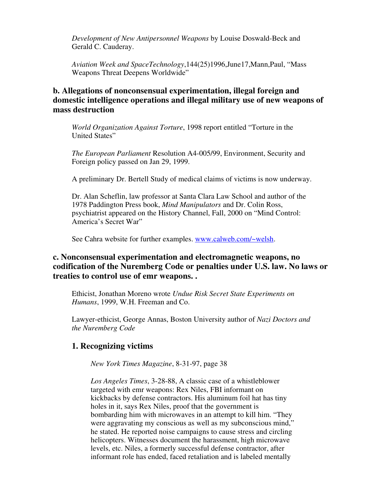*Development of New Antipersonnel Weapons* by Louise Doswald-Beck and Gerald C. Cauderay.

*Aviation Week and SpaceTechnology*,144(25)1996,June17,Mann,Paul, "Mass Weapons Threat Deepens Worldwide"

# **b. Allegations of nonconsensual experimentation, illegal foreign and domestic intelligence operations and illegal military use of new weapons of mass destruction**

*World Organization Against Torture*, 1998 report entitled "Torture in the United States"

*The European Parliament* Resolution A4-005/99, Environment, Security and Foreign policy passed on Jan 29, 1999.

A preliminary Dr. Bertell Study of medical claims of victims is now underway.

Dr. Alan Scheflin, law professor at Santa Clara Law School and author of the 1978 Paddington Press book, *Mind Manipulators* and Dr. Colin Ross, psychiatrist appeared on the History Channel, Fall, 2000 on "Mind Control: America's Secret War"

See Cahra website for further examples. www.calweb.com/~welsh.

# **c. Nonconsensual experimentation and electromagnetic weapons, no codification of the Nuremberg Code or penalties under U.S. law. No laws or treaties to control use of emr weapons. .**

Ethicist, Jonathan Moreno wrote *Undue Risk Secret State Experiments on Humans*, 1999, W.H. Freeman and Co.

Lawyer-ethicist, George Annas, Boston University author of *Nazi Doctors and the Nuremberg Code*

# **1. Recognizing victims**

*New York Times Magazine*, 8-31-97, page 38

*Los Angeles Times*, 3-28-88, A classic case of a whistleblower targeted with emr weapons: Rex Niles, FBI informant on kickbacks by defense contractors. His aluminum foil hat has tiny holes in it, says Rex Niles, proof that the government is bombarding him with microwaves in an attempt to kill him. "They were aggravating my conscious as well as my subconscious mind," he stated. He reported noise campaigns to cause stress and circling helicopters. Witnesses document the harassment, high microwave levels, etc. Niles, a formerly successful defense contractor, after informant role has ended, faced retaliation and is labeled mentally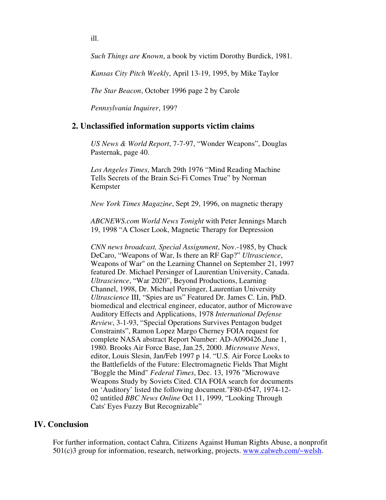ill.

*Such Things are Known*, a book by victim Dorothy Burdick, 1981.

*Kansas City Pitch Weekly*, April 13-19, 1995, by Mike Taylor

*The Star Beacon*, October 1996 page 2 by Carole

*Pennsylvania Inquirer*, 199?

#### **2. Unclassified information supports victim claims**

*US News & World Report*, 7-7-97, "Wonder Weapons", Douglas Pasternak, page 40.

*Los Angeles Times*, March 29th 1976 "Mind Reading Machine Tells Secrets of the Brain Sci-Fi Comes True" by Norman Kempster

*New York Times Magazine*, Sept 29, 1996, on magnetic therapy

*ABCNEWS.com World News Tonight* with Peter Jennings March 19, 1998 "A Closer Look, Magnetic Therapy for Depression

*CNN news broadcast, Special Assignment*, Nov.-1985, by Chuck DeCaro, "Weapons of War, Is there an RF Gap?" *Ultrascience*, Weapons of War" on the Learning Channel on September 21, 1997 featured Dr. Michael Persinger of Laurentian University, Canada. *Ultrascience*, "War 2020", Beyond Productions, Learning Channel, 1998, Dr. Michael Persinger, Laurentian University *Ultrascience* III, "Spies are us" Featured Dr. James C. Lin, PhD. biomedical and electrical engineer, educator, author of Microwave Auditory Effects and Applications, 1978 *International Defense Review*, 3-1-93, "Special Operations Survives Pentagon budget Constraints", Ramon Lopez Margo Cherney FOIA request for complete NASA abstract Report Number: AD-A090426.,June 1, 1980. Brooks Air Force Base, Jan.25, 2000. *Microwave News*, editor, Louis Slesin, Jan/Feb 1997 p 14. "U.S. Air Force Looks to the Battlefields of the Future: Electromagnetic Fields That Might "Boggle the Mind" *Federal Times*, Dec. 13, 1976 "Microwave Weapons Study by Soviets Cited. CIA FOIA search for documents on 'Auditory' listed the following document."F80-0547, 1974-12- 02 untitled *BBC News Online* Oct 11, 1999, "Looking Through Cats'Eyes Fuzzy But Recognizable"

#### **IV. Conclusion**

For further information, contact Cahra, Citizens Against Human Rights Abuse, a nonprofit 501(c)3 group for information, research, networking, projects. www.calweb.com/~welsh.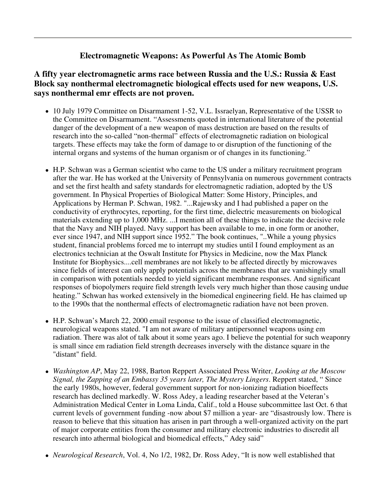# **Electromagnetic Weapons: As Powerful As The Atomic Bomb**

# **A fifty year electromagnetic arms race between Russia and the U.S.: Russia & East Block say nonthermal electromagnetic biological effects used for new weapons, U.S. says nonthermal emr effects are not proven.**

- 10 July 1979 Committee on Disarmament 1-52, V.L. Issraelyan, Representative of the USSR to the Committee on Disarmament. "Assessments quoted in international literature of the potential danger of the development of a new weapon of mass destruction are based on the results of research into the so-called "non-thermal" effects of electromagnetic radiation on biological targets. These effects may take the form of damage to or disruption of the functioning of the internal organs and systems of the human organism or of changes in its functioning."
- H.P. Schwan was a German scientist who came to the US under a military recruitment program after the war. He has worked at the University of Pennsylvania on numerous government contracts and set the first health and safety standards for electromagnetic radiation, adopted by the US government. In Physical Properties of Biological Matter: Some History, Principles, and Applications by Herman P. Schwan, 1982. "...Rajewsky and I had published a paper on the conductivity of erythrocytes, reporting, for the first time, dielectric measurements on biological materials extending up to 1,000 MHz. ...I mention all of these things to indicate the decisive role that the Navy and NIH played. Navy support has been available to me, in one form or another, ever since 1947, and NIH support since 1952." The book continues, "..While a young physics student, financial problems forced me to interrupt my studies until I found employment as an electronics technician at the Oswalt Institute for Physics in Medicine, now the Max Planck Institute for Biophysics....cell membranes are not likely to be affected directly by microwaves since fields of interest can only apply potentials across the membranes that are vanishingly small in comparison with potentials needed to yield significant membrane responses. And significant responses of biopolymers require field strength levels very much higher than those causing undue heating." Schwan has worked extensively in the biomedical engineering field. He has claimed up to the 1990s that the nonthermal effects of electromagnetic radiation have not been proven.
- H.P. Schwan's March 22, 2000 email response to the issue of classified electromagnetic, neurological weapons stated. "I am not aware of military antipersonnel weapons using em radiation. There was alot of talk about it some years ago. I believe the potential for such weaponry is small since em radiation field strength decreases inversely with the distance square in the "distant" field.
- *Washington AP*, May 22, 1988, Barton Reppert Associated Press Writer, *Looking at the Moscow Signal, the Zapping of an Embassy 35 years later, The Mystery Lingers*. Reppert stated, " Since the early 1980s, however, federal government support for non-ionizing radiation bioeffects research has declined markedly. W. Ross Adey, a leading researcher based at the Veteran's Administration Medical Center in Loma Linda, Calif., told a House subcommittee last Oct. 6 that current levels of government funding -now about \$7 million a year- are "disastrously low. There is reason to believe that this situation has arisen in part through a well-organized activity on the part of major corporate entities from the consumer and military electronic industries to discredit all research into athermal biological and biomedical effects," Adey said"
- *Neurological Research*, Vol. 4, No 1/2, 1982, Dr. Ross Adey, "It is now well established that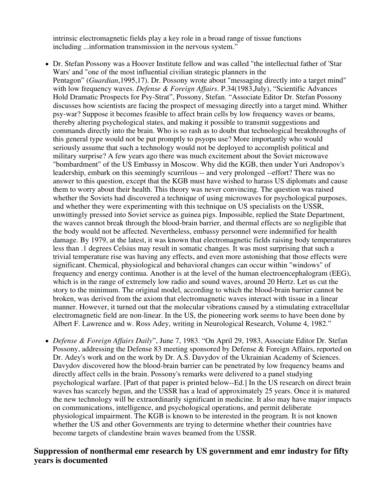intrinsic electromagnetic fields play a key role in a broad range of tissue functions including ...information transmission in the nervous system."

- Dr. Stefan Possony was a Hoover Institute fellow and was called "the intellectual father of 'Star Wars'and "one of the most influential civilian strategic planners in the Pentagon" (*Guardian*,1995,17). Dr. Possony wrote about "messaging directly into a target mind" with low frequency waves. *Defense & Foreign Affairs*. P.34(1983,July), "Scientific Advances Hold Dramatic Prospects for Psy-Strat", Possony, Stefan. "Associate Editor Dr. Stefan Possony discusses how scientists are facing the prospect of messaging directly into a target mind. Whither psy-war? Suppose it becomes feasible to affect brain cells by low frequency waves or beams, thereby altering psychological states, and making it possible to transmit suggestions and commands directly into the brain. Who is so rash as to doubt that technological breakthroughs of this general type would not be put promptly to psyops use? More importantly who would seriously assume that such a technology would not be deployed to accomplish political and military surprise? A few years ago there was much excitement about the Soviet microwave "bombardment" of the US Embassy in Moscow. Why did the KGB, then under Yuri Andropov's leadership, embark on this seemingly scurrilous -- and very prolonged --effort? There was no answer to this question, except that the KGB must have wished to harass US diplomats and cause them to worry about their health. This theory was never convincing. The question was raised whether the Soviets had discovered a technique of using microwaves for psychological purposes, and whether they were experimenting with this technique on US specialists on the USSR, unwittingly pressed into Soviet service as guinea pigs. Impossible, replied the State Department, the waves cannot break through the blood-brain barrier, and thermal effects are so negligible that the body would not be affected. Nevertheless, embassy personnel were indemnified for health damage. By 1979, at the latest, it was known that electromagnetic fields raising body temperatures less than .1 degrees Celsius may result in somatic changes. It was most surprising that such a trivial temperature rise was having any effects, and even more astonishing that those effects were significant. Chemical, physiological and behavioral changes can occur within "windows" of frequency and energy continua. Another is at the level of the human electroencephalogram (EEG), which is in the range of extremely low radio and sound waves, around 20 Hertz. Let us cut the story to the minimum. The original model, according to which the blood-brain barrier cannot be broken, was derived from the axiom that electromagnetic waves interact with tissue in a linear manner. However, it turned out that the molecular vibrations caused by a stimulating extracellular electromagnetic field are non-linear. In the US, the pioneering work seems to have been done by Albert F. Lawrence and w. Ross Adey, writing in Neurological Research, Volume 4, 1982."
- *Defense & Foreign Affairs Daily*", June 7, 1983. "On April 29, 1983, Associate Editor Dr. Stefan Possony, addressing the Defense 83 meeting sponsored by Defense & Foreign Affairs, reported on Dr. Adey's work and on the work by Dr. A.S. Davydov of the Ukrainian Academy of Sciences. Davydov discovered how the blood-brain barrier can be penetrated by low frequency beams and directly affect cells in the brain. Possony's remarks were delivered to a panel studying psychological warfare. [Part of that paper is printed below--Ed.] In the US research on direct brain waves has scarcely begun, and the USSR has a lead of approximately 25 years. Once it is matured the new technology will be extraordinarily significant in medicine. It also may have major impacts on communications, intelligence, and psychological operations, and permit deliberate physiological impairment. The KGB is known to be interested in the program. It is not known whether the US and other Governments are trying to determine whether their countries have become targets of clandestine brain waves beamed from the USSR.

# **Suppression of nonthermal emr research by US government and emr industry for fifty years is documented**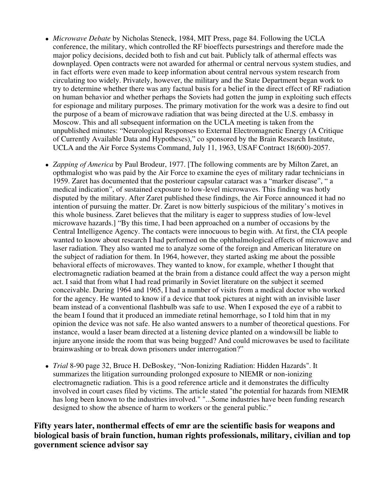- *Microwave Debate* by Nicholas Steneck, 1984, MIT Press, page 84. Following the UCLA conference, the military, which controlled the RF bioeffects pursestrings and therefore made the major policy decisions, decided both to fish and cut bait. Publicly talk of athermal effects was downplayed. Open contracts were not awarded for athermal or central nervous system studies, and in fact efforts were even made to keep information about central nervous system research from circulating too widely. Privately, however, the military and the State Department began work to try to determine whether there was any factual basis for a belief in the direct effect of RF radiation on human behavior and whether perhaps the Soviets had gotten the jump in exploiting such effects for espionage and military purposes. The primary motivation for the work was a desire to find out the purpose of a beam of microwave radiation that was being directed at the U.S. embassy in Moscow. This and all subsequent information on the UCLA meeting is taken from the unpublished minutes: "Neurological Responses to External Electromagnetic Energy (A Critique of Currently Available Data and Hypotheses)," co sponsored by the Brain Research Institute, UCLA and the Air Force Systems Command, July 11, 1963, USAF Contract 18(600)-2057.
- *Zapping of America* by Paul Brodeur, 1977. [The following comments are by Milton Zaret, an opthmalogist who was paid by the Air Force to examine the eyes of military radar technicians in 1959. Zaret has documented that the posteriour capsular cataract was a "marker disease", " a medical indication", of sustained exposure to low-level microwaves. This finding was hotly disputed by the military. After Zaret published these findings, the Air Force announced it had no intention of pursuing the matter. Dr. Zaret is now bitterly suspicious of the military's motives in this whole business. Zaret believes that the military is eager to suppress studies of low-level microwave hazards.] "By this time, I had been approached on a number of occasions by the Central Intelligence Agency. The contacts were innocuous to begin with. At first, the CIA people wanted to know about research I had performed on the ophthalmological effects of microwave and laser radiation. They also wanted me to analyze some of the foreign and American literature on the subject of radiation for them. In 1964, however, they started asking me about the possible behavioral effects of microwaves. They wanted to know, for example, whether I thought that electromagnetic radiation beamed at the brain from a distance could affect the way a person might act. I said that from what I had read primarily in Soviet literature on the subject it seemed conceivable. During 1964 and 1965, I had a number of visits from a medical doctor who worked for the agency. He wanted to know if a device that took pictures at night with an invisible laser beam instead of a conventional flashbulb was safe to use. When I exposed the eye of a rabbit to the beam I found that it produced an immediate retinal hemorrhage, so I told him that in my opinion the device was not safe. He also wanted answers to a number of theoretical questions. For instance, would a laser beam directed at a listening device planted on a windowsill be liable to injure anyone inside the room that was being bugged? And could microwaves be used to facilitate brainwashing or to break down prisoners under interrogation?"
- *Trial* 8-90 page 32, Bruce H. DeBoskey, "Non-Ionizing Radiation: Hidden Hazards". It summarizes the litigation surrounding prolonged exposure to NIEMR or non-ionizing electromagnetic radiation. This is a good reference article and it demonstrates the difficulty involved in court cases filed by victims. The article stated "the potential for hazards from NIEMR has long been known to the industries involved." "...Some industries have been funding research designed to show the absence of harm to workers or the general public."

# **Fifty years later, nonthermal effects of emr are the scientific basis for weapons and biological basis of brain function, human rights professionals, military, civilian and top government science advisor say**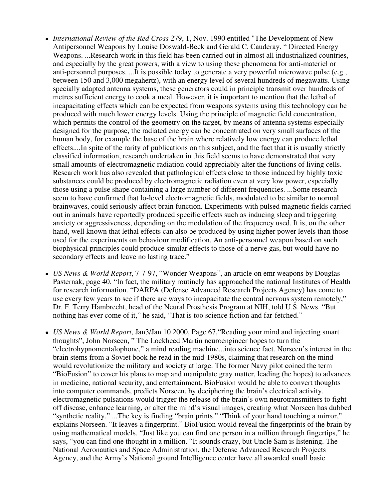- *International Review of the Red Cross* 279, 1, Nov. 1990 entitled "The Development of New Antipersonnel Weapons by Louise Doswald-Beck and Gerald C. Cauderay. " Directed Energy Weapons. ...Research work in this field has been carried out in almost all industrialized countries, and especially by the great powers, with a view to using these phenomena for anti-materiel or anti-personnel purposes. ...It is possible today to generate a very powerful microwave pulse (e.g., between 150 and 3,000 megahertz), with an energy level of several hundreds of megawatts. Using specially adapted antenna systems, these generators could in principle transmit over hundreds of metres sufficient energy to cook a meal. However, it is important to mention that the lethal of incapacitating effects which can be expected from weapons systems using this technology can be produced with much lower energy levels. Using the principle of magnetic field concentration, which permits the control of the geometry on the target, by means of antenna systems especially designed for the purpose, the radiated energy can be concentrated on very small surfaces of the human body, for example the base of the brain where relatively low energy can produce lethal effects....In spite of the rarity of publications on this subject, and the fact that it is usually strictly classified information, research undertaken in this field seems to have demonstrated that very small amounts of electromagnetic radiation could appreciably alter the functions of living cells. Research work has also revealed that pathological effects close to those induced by highly toxic substances could be produced by electromagnetic radiation even at very low power, especially those using a pulse shape containing a large number of different frequencies. ...Some research seem to have confirmed that lo-level electromagnetic fields, modulated to be similar to normal brainwaves, could seriously affect brain function. Experiments with pulsed magnetic fields carried out in animals have reportedly produced specific effects such as inducing sleep and triggering anxiety or aggressiveness, depending on the modulation of the frequency used. It is, on the other hand, well known that lethal effects can also be produced by using higher power levels than those used for the experiments on behaviour modification. An anti-personnel weapon based on such biophysical principles could produce similar effects to those of a nerve gas, but would have no secondary effects and leave no lasting trace."
- *US News & World Report*, 7-7-97, "Wonder Weapons", an article on emr weapons by Douglas Pasternak, page 40. "In fact, the military routinely has approached the national Institutes of Health for research information. "DARPA (Defense Advanced Research Projects Agency) has come to use every few years to see if there are ways to incapacitate the central nervous system remotely," Dr. F. Terry Hambrecht, head of the Neural Prosthesis Program at NIH, told U.S. News. "But nothing has ever come of it," he said, "That is too science fiction and far-fetched."
- *US News* & *World Report*, Jan3/Jan 10 2000, Page 67, "Reading your mind and injecting smart thoughts", John Norseen, " The Lockheed Martin neuroengineer hopes to turn the "electrohypnomentalophone," a mind reading machine...into science fact. Norseen's interest in the brain stems from a Soviet book he read in the mid-1980s, claiming that research on the mind would revolutionize the military and society at large. The former Navy pilot coined the term "BioFusion" to cover his plans to map and manipulate gray matter, leading (he hopes) to advances in medicine, national security, and entertainment. BioFusion would be able to convert thoughts into computer commands, predicts Norseen, by deciphering the brain's electrical activity. electromagnetic pulsations would trigger the release of the brain's own neurotransmitters to fight off disease, enhance learning, or alter the mind's visual images, creating what Norseen has dubbed "synthetic reality." ...The key is finding "brain prints." "Think of your hand touching a mirror," explains Norseen. "It leaves a fingerprint." BioFusion would reveal the fingerprints of the brain by using mathematical models. "Just like you can find one person in a million through fingertips," he says, "you can find one thought in a million. "It sounds crazy, but Uncle Sam is listening. The National Aeronautics and Space Administration, the Defense Advanced Research Projects Agency, and the Army's National ground Intelligence center have all awarded small basic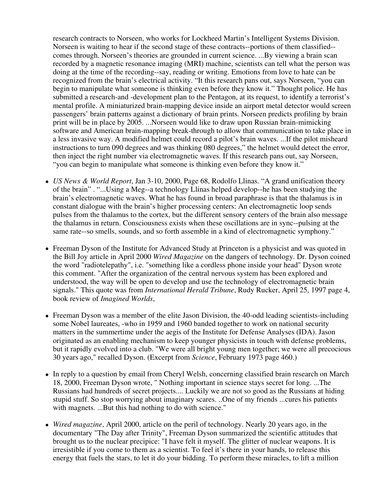research contracts to Norseen, who works for Lockheed Martin's Intelligent Systems Division. Norseen is waiting to hear if the second stage of these contracts--portions of them classified- comes through. Norseen's theories are grounded in current science. ...By viewing a brain scan recorded by a magnetic resonance imaging (MRI) machine, scientists can tell what the person was doing at the time of the recording--say, reading or writing. Emotions from love to hate can be recognized from the brain's electrical activity. "It this research pans out, says Norseen, "you can begin to manipulate what someone is thinking even before they know it." Thought police. He has submitted a research-and -development plan to the Pentagon, at its request, to identify a terrorist's mental profile. A miniaturized brain-mapping device inside an airport metal detector would screen passengers' brain patterns against a dictionary of brain prints. Norseen predicts profiling by brain print will be in place by 2005. ...Norseen would like to draw upon Russian brain-mimicking software and American brain-mapping break-through to allow that communication to take place in a less invasive way. A modified helmet could record a pilot's brain waves. ...If the pilot misheard instructions to turn 090 degrees and was thinking 080 degrees," the helmet would detect the error, then inject the right number via electromagnetic waves. If this research pans out, say Norseen, "you can begin to manipulate what someone is thinking even before they know it."

- *US News & World Report*, Jan 3-10, 2000, Page 68, Rodolfo Llinas. "A grand unification theory of the brain" . "...Using a Meg--a technology Llinas helped develop--he has been studying the brain's electromagnetic waves. What he has found in broad paraphrase is that the thalamus is in constant dialogue with the brain's higher processing centers: An electromagnetic loop sends pulses from the thalamus to the cortex, but the different sensory centers of the brain also message the thalamus in return. Consciousness exists when these oscillations are in sync--pulsing at the same rate--so smells, sounds, and so forth assemble in a kind of electromagnetic symphony."
- Freeman Dyson of the Institute for Advanced Study at Princeton is a physicist and was quoted in the Bill Joy article in April 2000 *Wired Magazine* on the dangers of technology. Dr. Dyson coined the word "radiotelepathy", i.e. "something like a cordless phone inside your head" Dyson wrote this comment. "After the organization of the central nervous system has been explored and understood, the way will be open to develop and use the technology of electromagnetic brain signals." This quote was from *International Herald Tribune*, Rudy Rucker, April 25, 1997 page 4, book review of *Imagined Worlds*,
- Freeman Dyson was a member of the elite Jason Division, the 40-odd leading scientists-including some Nobel laureates, -who in 1959 and 1960 banded together to work on national security matters in the summertime under the aegis of the Institute for Defense Analyses (IDA). Jason originated as an enabling mechanism to keep younger physicists in touch with defense problems, but it rapidly evolved into a club. "We were all bright young men together; we were all precocious 30 years ago," recalled Dyson. (Excerpt from *Science*, February 1973 page 460.)
- In reply to a question by email from Cheryl Welsh, concerning classified brain research on March 18, 2000, Freeman Dyson wrote, " Nothing important in science stays secret for long. ...The Russians had hundreds of secret projects.... Luckily we are not so good as the Russians at hiding stupid stuff. So stop worrying about imaginary scares. ..One of my friends ...cures his patients with magnets. ...But this had nothing to do with science."
- *Wired magazine*, April 2000, article on the peril of technology. Nearly 20 years ago, in the documentary "The Day after Trinity", Freeman Dyson summarized the scientific attitudes that brought us to the nuclear precipice: "I have felt it myself. The glitter of nuclear weapons. It is irresistible if you come to them as a scientist. To feel it's there in your hands, to release this energy that fuels the stars, to let it do your bidding. To perform these miracles, to lift a million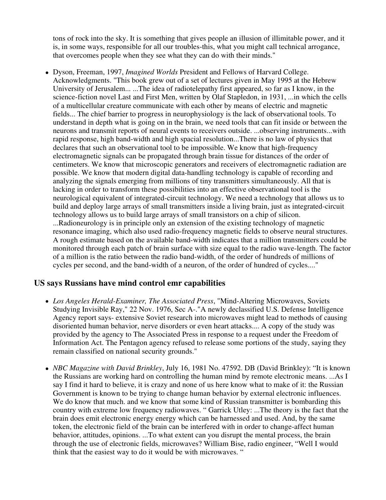tons of rock into the sky. It is something that gives people an illusion of illimitable power, and it is, in some ways, responsible for all our troubles-this, what you might call technical arrogance, that overcomes people when they see what they can do with their minds."

 Dyson, Freeman, 1997, *Imagined Worlds* President and Fellows of Harvard College. Acknowledgments. "This book grew out of a set of lectures given in May 1995 at the Hebrew University of Jerusalem... ...The idea of radiotelepathy first appeared, so far as I know, in the science-fiction novel Last and First Men, written by Olaf Stapledon, in 1931, ...in which the cells of a multicellular creature communicate with each other by means of electric and magnetic fields... The chief barrier to progress in neurophysiology is the lack of observational tools. To understand in depth what is going on in the brain, we need tools that can fit inside or between the neurons and transmit reports of neural events to receivers outside. ...observing instruments...with rapid response, high band-width and high spacial resolution...There is no law of physics that declares that such an observational tool to be impossible. We know that high-frequency electromagnetic signals can be propagated through brain tissue for distances of the order of centimeters. We know that microscopic generators and receivers of electromagnetic radiation are possible. We know that modern digital data-handling technology is capable of recording and analyzing the signals emerging from millions of tiny transmitters simultaneously. All that is lacking in order to transform these possibilities into an effective observational tool is the neurological equivalent of integrated-circuit technology. We need a technology that allows us to build and deploy large arrays of small transmitters inside a living brain, just as integrated-circuit technology allows us to build large arrays of small transistors on a chip of silicon. ...Radioneurology is in principle only an extension of the existing technology of magnetic resonance imaging, which also used radio-frequency magnetic fields to observe neural structures. A rough estimate based on the available band-width indicates that a million transmitters could be monitored through each patch of brain surface with size equal to the radio wave-length. The factor of a million is the ratio between the radio band-width, of the order of hundreds of millions of cycles per second, and the band-width of a neuron, of the order of hundred of cycles...."

#### **US says Russians have mind control emr capabilities**

- *Los Angeles Herald-Examiner, The Associated Press*, "Mind-Altering Microwaves, Soviets Studying Invisible Ray," 22 Nov. 1976, Sec A-."A newly declassified U.S. Defense Intelligence Agency report says- extensive Soviet research into microwaves might lead to methods of causing disoriented human behavior, nerve disorders or even heart attacks.... A copy of the study was provided by the agency to The Associated Press in response to a request under the Freedom of Information Act. The Pentagon agency refused to release some portions of the study, saying they remain classified on national security grounds."
- *NBC Magazine with David Brinkley*, July 16, 1981 No. 47592. DB (David Brinkley): "It is known the Russians are working hard on controlling the human mind by remote electronic means. ...As I say I find it hard to believe, it is crazy and none of us here know what to make of it: the Russian Government is known to be trying to change human behavior by external electronic influences. We do know that much. and we know that some kind of Russian transmitter is bombarding this country with extreme low frequency radiowaves. " Garrick Utley: ...The theory is the fact that the brain does emit electronic energy energy which can be harnessed and used. And, by the same token, the electronic field of the brain can be interfered with in order to change-affect human behavior, attitudes, opinions. ...To what extent can you disrupt the mental process, the brain through the use of electronic fields, microwaves? William Bise, radio engineer, "Well I would think that the easiest way to do it would be with microwaves. "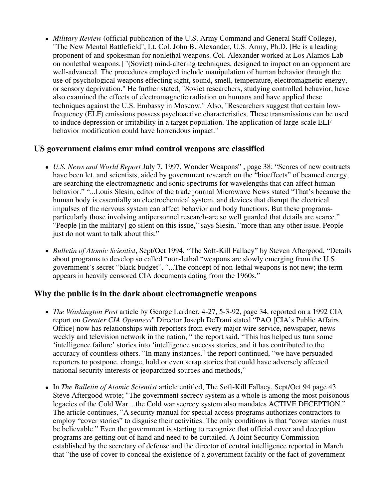*Military Review* (official publication of the U.S. Army Command and General Staff College), "The New Mental Battlefield", Lt. Col. John B. Alexander, U.S. Army, Ph.D. [He is a leading proponent of and spokesman for nonlethal weapons. Col. Alexander worked at Los Alamos Lab on nonlethal weapons.] "(Soviet) mind-altering techniques, designed to impact on an opponent are well-advanced. The procedures employed include manipulation of human behavior through the use of psychological weapons effecting sight, sound, smell, temperature, electromagnetic energy, or sensory deprivation." He further stated, "Soviet researchers, studying controlled behavior, have also examined the effects of electromagnetic radiation on humans and have applied these techniques against the U.S. Embassy in Moscow." Also, "Researchers suggest that certain lowfrequency (ELF) emissions possess psychoactive characteristics. These transmissions can be used to induce depression or irritability in a target population. The application of large-scale ELF behavior modification could have horrendous impact."

# **US government claims emr mind control weapons are classified**

- *U.S. News and World Report* July 7, 1997, Wonder Weapons" , page 38; "Scores of new contracts have been let, and scientists, aided by government research on the "bioeffects" of beamed energy, are searching the electromagnetic and sonic spectrums for wavelengths that can affect human behavior." "...Louis Slesin, editor of the trade journal Microwave News stated "That's because the human body is essentially an electrochemical system, and devices that disrupt the electrical impulses of the nervous system can affect behavior and body functions. But these programsparticularly those involving antipersonnel research-are so well guarded that details are scarce." "People [in the military] go silent on this issue," says Slesin, "more than any other issue. People just do not want to talk about this."
- *Bulletin of Atomic Scientist*, Sept/Oct 1994, "The Soft-Kill Fallacy" by Steven Aftergood, "Details about programs to develop so called "non-lethal "weapons are slowly emerging from the U.S. government's secret "black budget". "...The concept of non-lethal weapons is not new; the term appears in heavily censored CIA documents dating from the 1960s."

#### **Why the public is in the dark about electromagnetic weapons**

- *The Washington Post* article by George Lardner, 4-27, 5-3-92, page 34, reported on a 1992 CIA report on *Greater CIA Openness*" Director Joseph DeTrani stated "PAO [CIA's Public Affairs Office] now has relationships with reporters from every major wire service, newspaper, news weekly and television network in the nation, " the report said. "This has helped us turn some 'intelligence failure' stories into 'intelligence success stories, and it has contributed to the accuracy of countless others. "In many instances," the report continued, "we have persuaded reporters to postpone, change, hold or even scrap stories that could have adversely affected national security interests or jeopardized sources and methods,"
- In *The Bulletin of Atomic Scientist* article entitled, The Soft-Kill Fallacy, Sept/Oct 94 page 43 Steve Aftergood wrote; "The government secrecy system as a whole is among the most poisonous legacies of the Cold War. ..the Cold war secrecy system also mandates ACTIVE DECEPTION." The article continues, "A security manual for special access programs authorizes contractors to employ "cover stories" to disguise their activities. The only conditions is that "cover stories must be believable." Even the government is starting to recognize that official cover and deception programs are getting out of hand and need to be curtailed. A Joint Security Commission established by the secretary of defense and the director of central intelligence reported in March that "the use of cover to conceal the existence of a government facility or the fact of government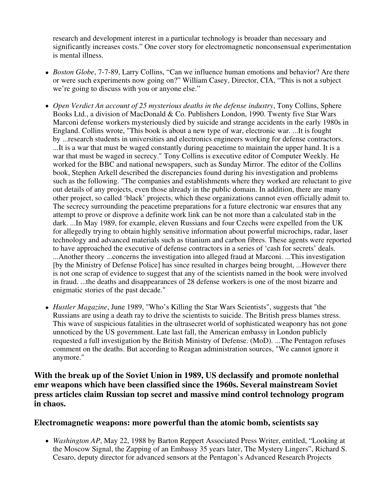research and development interest in a particular technology is broader than necessary and significantly increases costs." One cover story for electromagnetic nonconsensual experimentation is mental illness.

- *Boston Globe*, 7-7-89, Larry Collins, "Can we influence human emotions and behavior? Are there or were such experiments now going on?" William Casey, Director, CIA, "This is not a subject we're going to discuss with you or anyone else."
- *Open Verdict An account of 25 mysterious deaths in the defense industry*, Tony Collins, Sphere Books Ltd., a division of MacDonald & Co. Publishers London, 1990. Twenty five Star Wars Marconi defense workers mysteriously died by suicide and strange accidents in the early 1980s in England. Collins wrote, "This book is about a new type of war, electronic war. ...It is fought by ...research students in universities and electronics engineers working for defense contractors. ...It is a war that must be waged constantly during peacetime to maintain the upper hand. It is a war that must be waged in secrecy." Tony Collins is executive editor of Computer Weekly. He worked for the BBC and national newspapers, such as Sunday Mirror. The editor of the Collins book, Stephen Arkell described the discrepancies found during his investigation and problems such as the following. "The companies and establishments where they worked are reluctant to give out details of any projects, even those already in the public domain. In addition, there are many other project, so called 'black' projects, which these organizations cannot even officially admit to. The secrecy surrounding the peacetime preparations for a future electronic war ensures that any attempt to prove or disprove a definite work link can be not more than a calculated stab in the dark. ...In May 1989, for example, eleven Russians and four Czechs were expelled from the UK for allegedly trying to obtain highly sensitive information about powerful microchips, radar, laser technology and advanced materials such as titanium and carbon fibres. These agents were reported to have approached the executive of defense contractors in a series of 'cash for secrets' deals. ...Another theory ...concerns the investigation into alleged fraud at Marconi. ...This investigation [by the Ministry of Defense Police] has since resulted in charges being brought, ...However there is not one scrap of evidence to suggest that any of the scientists named in the book were involved in fraud. ...the deaths and disappearances of 28 defense workers is one of the most bizarre and enigmatic stories of the past decade."
- *Hustler Magazine*, June 1989, "Who's Killing the Star Wars Scientists", suggests that "the Russians are using a death ray to drive the scientists to suicide. The British press blames stress. This wave of suspicious fatalities in the ultrasecret world of sophisticated weaponry has not gone unnoticed by the US government. Late last fall, the American embassy in London publicly requested a full investigation by the British Ministry of Defense. (MoD). ...The Pentagon refuses comment on the deaths. But according to Reagan administration sources, "We cannot ignore it anymore."

**With the break up of the Soviet Union in 1989, US declassify and promote nonlethal emr weapons which have been classified since the 1960s. Several mainstream Soviet press articles claim Russian top secret and massive mind control technology program in chaos.**

#### **Electromagnetic weapons: more powerful than the atomic bomb, scientists say**

 *Washington AP*, May 22, 1988 by Barton Reppert Associated Press Writer, entitled, "Looking at the Moscow Signal, the Zapping of an Embassy 35 years later, The Mystery Lingers", Richard S. Cesaro, deputy director for advanced sensors at the Pentagon's Advanced Research Projects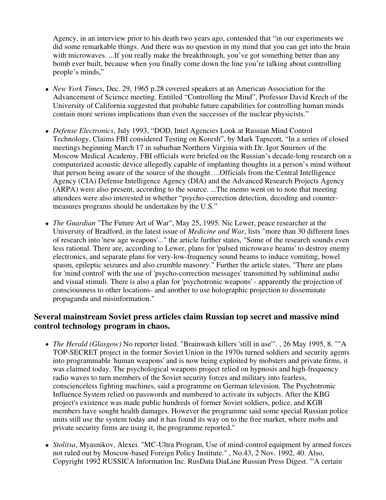Agency, in an interview prior to his death two years ago, contended that "in our experiments we did some remarkable things. And there was no question in my mind that you can get into the brain with microwaves. ...If you really make the breakthrough, you've got something better than any bomb ever built, because when you finally come down the line you're talking about controlling people's minds,"

- *New York Times*, Dec. 29, 1965 p.28 covered speakers at an American Association for the Advancement of Science meeting. Entitled "Controlling the Mind", Professor David Krech of the University of California suggested that probable future capabilities for controlling human minds contain more serious implications than even the successes of the nuclear physicists."
- *Defense Electronics*, July 1993, "DOD, Intel Agencies Look at Russian Mind Control Technology, Claims FBI considered Testing on Koresh", by Mark Tapscott, "In a series of closed meetings beginning March 17 in suburban Northern Virginia with Dr. Igor Smirnov of the Moscow Medical Academy, FBI officials were briefed on the Russian's decade-long research on a computerized acoustic device allegedly capable of implanting thoughts in a person's mind without that person being aware of the source of the thought. ...Officials from the Central Intelligence Agency (CIA) Defense Intelligence Agency (DIA) and the Advanced Research Projects Agency (ARPA) were also present, according to the source. ...The memo went on to note that meeting attendees were also interested in whether "psycho-correction detection, decoding and countermeasures programs should be undertaken by the U.S."
- *The Guardian* "The Future Art of War", May 25, 1995. Nic Lewer, peace researcher at the University of Bradford, in the latest issue of *Medicine and War*, lists "more than 30 different lines of research into 'new age weapons'..." the article further states, "Some of the research sounds even less rational. There are, according to Lewer, plans for 'pulsed microwave beams'to destroy enemy electronics, and separate plans for very-low-frequency sound beams to induce vomiting, bowel spasm, epileptic seizures and also crumble masonry." Further the article states, "There are plans for 'mind control'with the use of 'psycho-correction messages'transmitted by subliminal audio and visual stimuli. There is also a plan for 'psychotronic weapons'- apparently the projection of consciousness to other locations- and another to use holographic projection to disseminate propaganda and misinformation."

# **Several mainstream Soviet press articles claim Russian top secret and massive mind control technology program in chaos.**

- *The Herald (Glasgow)* No reporter listed. "Brainwash killers 'still in use'". , 26 May 1995, 8. ""A TOP-SECRET project in the former Soviet Union in the 1970s turned soldiers and security agents into programmable 'human weapons'and is now being exploited by mobsters and private firms, it was claimed today. The psychological weapons project relied on hypnosis and high-frequency radio waves to turn members of the Soviet security forces and military into fearless, conscienceless fighting machines, said a programme on German television. The Psychotronic Influence System relied on passwords and numbered to activate its subjects. After the KBG project's existence was made public hundreds of former Soviet soldiers, police, and KGB members have sought health damages. However the programme said some special Russian police units still use the system today and it has found its way on to the free market, where mobs and private security firms are using it, the programme reported."
- *Stolitsa*, Myasnikov, Alexei. "MC-Ultra Program, Use of mind-control equipment by armed forces not ruled out by Moscow-based Foreign Policy Institute." , No.43, 2 Nov. 1992, 40. Also, Copyright 1992 RUSSICA Information Inc. RusData DiaLine Russian Press Digest. "'A certain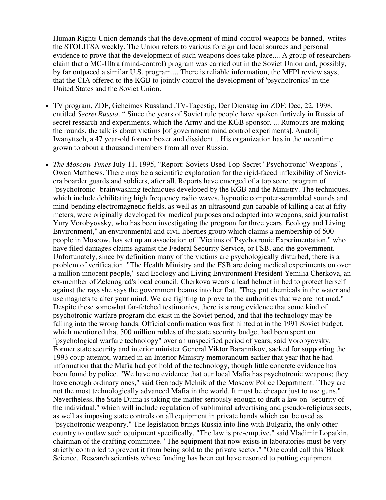Human Rights Union demands that the development of mind-control weapons be banned,'writes the STOLITSA weekly. The Union refers to various foreign and local sources and personal evidence to prove that the development of such weapons does take place.... A group of researchers claim that a MC-Ultra (mind-control) program was carried out in the Soviet Union and, possibly, by far outpaced a similar U.S. program.... There is reliable information, the MFPI review says, that the CIA offered to the KGB to jointly control the development of 'psychotronics'in the United States and the Soviet Union.

- TV program, ZDF, Geheimes Russland ,TV-Tagestip, Der Dienstag im ZDF: Dec, 22, 1998, entitled *Secret Russia*. " Since the years of Soviet rule people have spoken furtively in Russia of secret research and experiments, which the Army and the KGB sponsor. ... Rumours are making the rounds, the talk is about victims [of government mind control experiments]. Anatolij Iwanyttsch, a 47 year-old former boxer and dissident... His organization has in the meantime grown to about a thousand members from all over Russia.
- *The Moscow Times* July 11, 1995, "Report: Soviets Used Top-Secret 'Psychotronic'Weapons", Owen Matthews. There may be a scientific explanation for the rigid-faced inflexibility of Sovietera boarder guards and soldiers, after all. Reports have emerged of a top secret program of "psychotronic" brainwashing techniques developed by the KGB and the Ministry. The techniques, which include debilitating high frequency radio waves, hypnotic computer-scrambled sounds and mind-bending electromagnetic fields, as well as an ultrasound gun capable of killing a cat at fifty meters, were originally developed for medical purposes and adapted into weapons, said journalist Yury Vorobyovsky, who has been investigating the program for three years. Ecology and Living Environment," an environmental and civil liberties group which claims a membership of 500 people in Moscow, has set up an association of "Victims of Psychotronic Experimentation," who have filed damages claims against the Federal Security Service, or FSB, and the government. Unfortunately, since by definition many of the victims are psychologically disturbed, there is a problem of verification. "The Health Ministry and the FSB are doing medical experiments on over a million innocent people," said Ecology and Living Environment President Yemilia Cherkova, an ex-member of Zelenograd's local council. Cherkova wears a lead helmet in bed to protect herself against the rays she says the government beams into her flat. "They put chemicals in the water and use magnets to alter your mind. We are fighting to prove to the authorities that we are not mad." Despite these somewhat far-fetched testimonies, there is strong evidence that some kind of psychotronic warfare program did exist in the Soviet period, and that the technology may be falling into the wrong hands. Official confirmation was first hinted at in the 1991 Soviet budget, which mentioned that 500 million rubles of the state security budget had been spent on "psychological warfare technology" over an unspecified period of years, said Vorobyovsky. Former state security and interior minister General Viktor Barannikov, sacked for supporting the 1993 coup attempt, warned in an Interior Ministry memorandum earlier that year that he had information that the Mafia had got hold of the technology, though little concrete evidence has been found by police. "We have no evidence that our local Mafia has psychotronic weapons; they have enough ordinary ones," said Gennady Melnik of the Moscow Police Department. "They are not the most technologically advanced Mafia in the world. It must be cheaper just to use guns." Nevertheless, the State Duma is taking the matter seriously enough to draft a law on "security of the individual," which will include regulation of subliminal advertising and pseudo-religious sects, as well as imposing state controls on all equipment in private hands which can be used as "psychotronic weaponry." The legislation brings Russia into line with Bulgaria, the only other country to outlaw such equipment specifically. "The law is pre-emptive," said Vladimir Lopatkin, chairman of the drafting committee. "The equipment that now exists in laboratories must be very strictly controlled to prevent it from being sold to the private sector." "One could call this 'Black Science.' Research scientists whose funding has been cut have resorted to putting equipment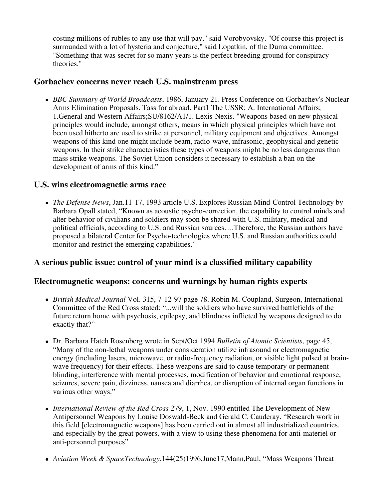costing millions of rubles to any use that will pay," said Vorobyovsky. "Of course this project is surrounded with a lot of hysteria and conjecture," said Lopatkin, of the Duma committee. "Something that was secret for so many years is the perfect breeding ground for conspiracy theories."

# **Gorbachev concerns never reach U.S. mainstream press**

 *BBC Summary of World Broadcasts*, 1986, January 21. Press Conference on Gorbachev's Nuclear Arms Elimination Proposals. Tass for abroad. Part1 The USSR; A. International Affairs; 1.General and Western Affairs;SU/8162/A1/1. Lexis-Nexis. "Weapons based on new physical principles would include, amongst others, means in which physical principles which have not been used hitherto are used to strike at personnel, military equipment and objectives. Amongst weapons of this kind one might include beam, radio-wave, infrasonic, geophysical and genetic weapons. In their strike characteristics these types of weapons might be no less dangerous than mass strike weapons. The Soviet Union considers it necessary to establish a ban on the development of arms of this kind."

# **U.S. wins electromagnetic arms race**

 *The Defense News*, Jan.11-17, 1993 article U.S. Explores Russian Mind-Control Technology by Barbara Opall stated, "Known as acoustic psycho-correction, the capability to control minds and alter behavior of civilians and soldiers may soon be shared with U.S. military, medical and political officials, according to U.S. and Russian sources. ...Therefore, the Russian authors have proposed a bilateral Center for Psycho-technologies where U.S. and Russian authorities could monitor and restrict the emerging capabilities."

# **A serious public issue: control of your mind is a classified military capability**

#### **Electromagnetic weapons: concerns and warnings by human rights experts**

- *British Medical Journal* Vol. 315, 7-12-97 page 78. Robin M. Coupland, Surgeon, International Committee of the Red Cross stated: "...will the soldiers who have survived battlefields of the future return home with psychosis, epilepsy, and blindness inflicted by weapons designed to do exactly that?"
- Dr. Barbara Hatch Rosenberg wrote in Sept/Oct 1994 *Bulletin of Atomic Scientists*, page 45, "Many of the non-lethal weapons under consideration utilize infrasound or electromagnetic energy (including lasers, microwave, or radio-frequency radiation, or visible light pulsed at brainwave frequency) for their effects. These weapons are said to cause temporary or permanent blinding, interference with mental processes, modification of behavior and emotional response, seizures, severe pain, dizziness, nausea and diarrhea, or disruption of internal organ functions in various other ways."
- *International Review of the Red Cross* 279, 1, Nov. 1990 entitled The Development of New Antipersonnel Weapons by Louise Doswald-Beck and Gerald C. Cauderay. "Research work in this field [electromagnetic weapons] has been carried out in almost all industrialized countries, and especially by the great powers, with a view to using these phenomena for anti-materiel or anti-personnel purposes"
- *Aviation Week & SpaceTechnology*,144(25)1996,June17,Mann,Paul, "Mass Weapons Threat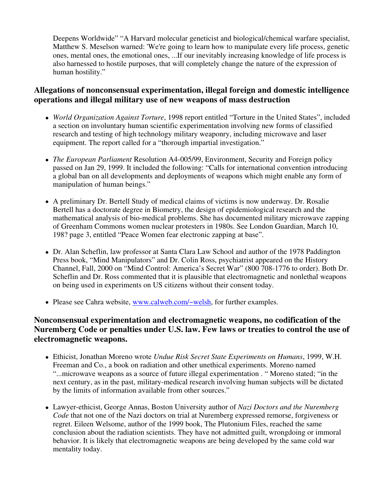Deepens Worldwide" "A Harvard molecular geneticist and biological/chemical warfare specialist, Matthew S. Meselson warned: 'We're going to learn how to manipulate every life process, genetic ones, mental ones, the emotional ones, ...If our inevitably increasing knowledge of life process is also harnessed to hostile purposes, that will completely change the nature of the expression of human hostility."

# **Allegations of nonconsensual experimentation, illegal foreign and domestic intelligence operations and illegal military use of new weapons of mass destruction**

- *World Organization Against Torture*, 1998 report entitled "Torture in the United States", included a section on involuntary human scientific experimentation involving new forms of classified research and testing of high technology military weaponry, including microwave and laser equipment. The report called for a "thorough impartial investigation."
- *The European Parliament* Resolution A4-005/99, Environment, Security and Foreign policy passed on Jan 29, 1999. It included the following: "Calls for international convention introducing a global ban on all developments and deployments of weapons which might enable any form of manipulation of human beings."
- A preliminary Dr. Bertell Study of medical claims of victims is now underway. Dr. Rosalie Bertell has a doctorate degree in Biometry, the design of epidemiological research and the mathematical analysis of bio-medical problems. She has documented military microwave zapping of Greenham Commons women nuclear protesters in 1980s. See London Guardian, March 10, 198? page 3, entitled "Peace Women fear electronic zapping at base".
- Dr. Alan Scheflin, law professor at Santa Clara Law School and author of the 1978 Paddington Press book, "Mind Manipulators" and Dr. Colin Ross, psychiatrist appeared on the History Channel, Fall, 2000 on "Mind Control: America's Secret War" (800 708-1776 to order). Both Dr. Scheflin and Dr. Ross commented that it is plausible that electromagnetic and nonlethal weapons on being used in experiments on US citizens without their consent today.
- Please see Cahra website, www.calweb.com/~welsh, for further examples.

# **Nonconsensual experimentation and electromagnetic weapons, no codification of the Nuremberg Code or penalties under U.S. law. Few laws or treaties to control the use of electromagnetic weapons.**

- Ethicist, Jonathan Moreno wrote *Undue Risk Secret State Experiments on Humans*, 1999, W.H. Freeman and Co., a book on radiation and other unethical experiments. Moreno named "...microwave weapons as a source of future illegal experimentation . " Moreno stated; "in the next century, as in the past, military-medical research involving human subjects will be dictated by the limits of information available from other sources."
- Lawyer-ethicist, George Annas, Boston University author of *Nazi Doctors and the Nuremberg Code* that not one of the Nazi doctors on trial at Nuremberg expressed remorse, forgiveness or regret. Eileen Welsome, author of the 1999 book, The Plutonium Files, reached the same conclusion about the radiation scientists. They have not admitted guilt, wrongdoing or immoral behavior. It is likely that electromagnetic weapons are being developed by the same cold war mentality today.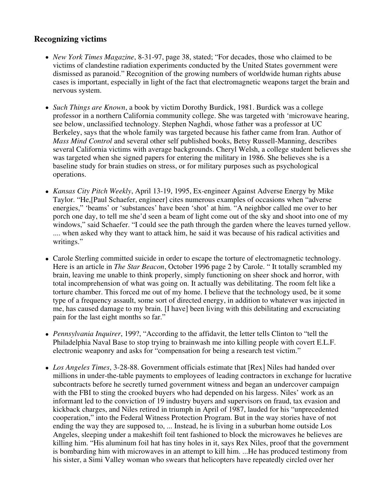# **Recognizing victims**

- *New York Times Magazine*, 8-31-97, page 38, stated; "For decades, those who claimed to be victims of clandestine radiation experiments conducted by the United States government were dismissed as paranoid." Recognition of the growing numbers of worldwide human rights abuse cases is important, especially in light of the fact that electromagnetic weapons target the brain and nervous system.
- *Such Things are Known*, a book by victim Dorothy Burdick, 1981. Burdick was a college professor in a northern California community college. She was targeted with 'microwave hearing, see below, unclassified technology. Stephen Naghdi, whose father was a professor at UC Berkeley, says that the whole family was targeted because his father came from Iran. Author of *Mass Mind Control* and several other self published books, Betsy Russell-Manning, describes several California victims with average backgrounds. Cheryl Welsh, a college student believes she was targeted when she signed papers for entering the military in 1986. She believes she is a baseline study for brain studies on stress, or for military purposes such as psychological operations.
- *Kansas City Pitch Weekly*, April 13-19, 1995, Ex-engineer Against Adverse Energy by Mike Taylor. "He,[Paul Schaefer, engineer] cites numerous examples of occasions when "adverse energies," 'beams' or 'substances' have been 'shot' at him. "A neighbor called me over to her porch one day, to tell me she'd seen a beam of light come out of the sky and shoot into one of my windows," said Schaefer. "I could see the path through the garden where the leaves turned yellow. .... when asked why they want to attack him, he said it was because of his radical activities and writings."
- Carole Sterling committed suicide in order to escape the torture of electromagnetic technology. Here is an article in *The Star Beacon*, October 1996 page 2 by Carole. " It totally scrambled my brain, leaving me unable to think properly, simply functioning on sheer shock and horror, with total incomprehension of what was going on. It actually was debilitating. The room felt like a torture chamber. This forced me out of my home. I believe that the technology used, be it some type of a frequency assault, some sort of directed energy, in addition to whatever was injected in me, has caused damage to my brain. [I have] been living with this debilitating and excruciating pain for the last eight months so far."
- *Pennsylvania Inquirer*, 199?, "According to the affidavit, the letter tells Clinton to "tell the Philadelphia Naval Base to stop trying to brainwash me into killing people with covert E.L.F. electronic weaponry and asks for "compensation for being a research test victim."
- *Los Angeles Times*, 3-28-88. Government officials estimate that [Rex] Niles had handed over millions in under-the-table payments to employees of leading contractors in exchange for lucrative subcontracts before he secretly turned government witness and began an undercover campaign with the FBI to sting the crooked buyers who had depended on his largess. Niles' work as an informant led to the conviction of 19 industry buyers and supervisors on fraud, tax evasion and kickback charges, and Niles retired in triumph in April of 1987, lauded for his "unprecedented cooperation," into the Federal Witness Protection Program. But in the way stories have of not ending the way they are supposed to, ... Instead, he is living in a suburban home outside Los Angeles, sleeping under a makeshift foil tent fashioned to block the microwaves he believes are killing him. "His aluminum foil hat has tiny holes in it, says Rex Niles, proof that the government is bombarding him with microwaves in an attempt to kill him. ...He has produced testimony from his sister, a Simi Valley woman who swears that helicopters have repeatedly circled over her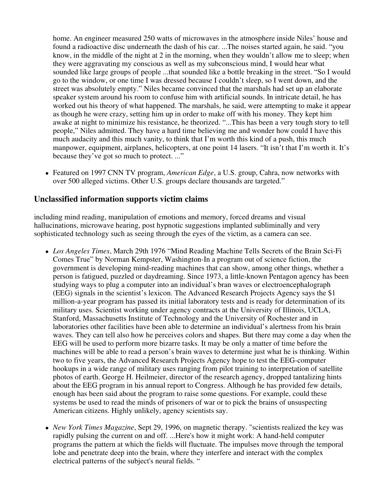home. An engineer measured 250 watts of microwaves in the atmosphere inside Niles' house and found a radioactive disc underneath the dash of his car. ...The noises started again, he said. "you know, in the middle of the night at 2 in the morning, when they wouldn't allow me to sleep; when they were aggravating my conscious as well as my subconscious mind, I would hear what sounded like large groups of people ...that sounded like a bottle breaking in the street. "So I would go to the window, or one time I was dressed because I couldn't sleep, so I went down, and the street was absolutely empty." Niles became convinced that the marshals had set up an elaborate speaker system around his room to confuse him with artificial sounds. In intricate detail, he has worked out his theory of what happened. The marshals, he said, were attempting to make it appear as though he were crazy, setting him up in order to make off with his money. They kept him awake at night to minimize his resistance, he theorized. "...This has been a very tough story to tell people," Niles admitted. They have a hard time believing me and wonder how could I have this much audacity and this much vanity, to think that I'm worth this kind of a push, this much manpower, equipment, airplanes, helicopters, at one point 14 lasers. "It isn't that I'm worth it. It's because they've got so much to protect. ..."

 Featured on 1997 CNN TV program, *American Edge*, a U.S. group, Cahra, now networks with over 500 alleged victims. Other U.S. groups declare thousands are targeted."

# **Unclassified information supports victim claims**

including mind reading, manipulation of emotions and memory, forced dreams and visual hallucinations, microwave hearing, post hypnotic suggestions implanted subliminally and very sophisticated technology such as seeing through the eyes of the victim, as a camera can see.

- *Los Angeles Times*, March 29th 1976 "Mind Reading Machine Tells Secrets of the Brain Sci-Fi Comes True" by Norman Kempster, Washington-In a program out of science fiction, the government is developing mind-reading machines that can show, among other things, whether a person is fatigued, puzzled or daydreaming. Since 1973, a little-known Pentagon agency has been studying ways to plug a computer into an individual's bran waves or electroencephalograph (EEG) signals in the scientist's lexicon. The Advanced Research Projects Agency says the \$1 million-a-year program has passed its initial laboratory tests and is ready for determination of its military uses. Scientist working under agency contracts at the University of Illinois, UCLA, Stanford, Massachusetts Institute of Technology and the University of Rochester and in laboratories other facilities have been able to determine an individual's alertness from his brain waves. They can tell also how he perceives colors and shapes. But there may come a day when the EEG will be used to perform more bizarre tasks. It may be only a matter of time before the machines will be able to read a person's brain waves to determine just what he is thinking. Within two to five years, the Advanced Research Projects Agency hope to test the EEG-computer hookups in a wide range of military uses ranging from pilot training to interpretation of satellite photos of earth. George H. Heilmeier, director of the research agency, dropped tantalizing hints about the EEG program in his annual report to Congress. Although he has provided few details, enough has been said about the program to raise some questions. For example, could these systems be used to read the minds of prisoners of war or to pick the brains of unsuspecting American citizens. Highly unlikely, agency scientists say.
- *New York Times Magazine*, Sept 29, 1996, on magnetic therapy. "scientists realized the key was rapidly pulsing the current on and off. ...Here's how it might work: A hand-held computer programs the pattern at which the fields will fluctuate. The impulses move through the temporal lobe and penetrate deep into the brain, where they interfere and interact with the complex electrical patterns of the subject's neural fields. "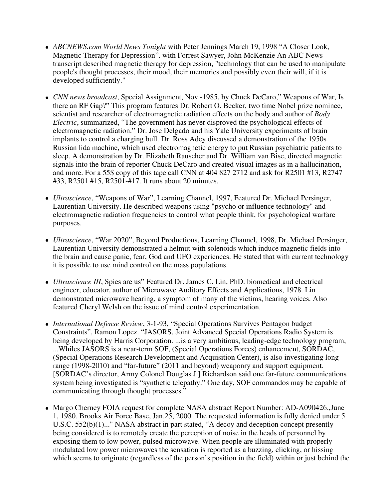- *ABCNEWS.com World News Tonight* with Peter Jennings March 19, 1998 "A Closer Look, Magnetic Therapy for Depression". with Forrest Sawyer, John McKenzie An ABC News transcript described magnetic therapy for depression, "technology that can be used to manipulate people's thought processes, their mood, their memories and possibly even their will, if it is developed sufficiently."
- *CNN news broadcast*, Special Assignment, Nov.-1985, by Chuck DeCaro," Weapons of War, Is there an RF Gap?" This program features Dr. Robert O. Becker, two time Nobel prize nominee, scientist and researcher of electromagnetic radiation effects on the body and author of *Body Electric*, summarized, "The government has never disproved the psychological effects of electromagnetic radiation." Dr. Jose Delgado and his Yale University experiments of brain implants to control a charging bull. Dr. Ross Adey discussed a demonstration of the 1950s Russian lida machine, which used electromagnetic energy to put Russian psychiatric patients to sleep. A demonstration by Dr. Elizabeth Rauscher and Dr. William van Bise, directed magnetic signals into the brain of reporter Chuck DeCaro and created visual images as in a hallucination, and more. For a 55\$ copy of this tape call CNN at 404 827 2712 and ask for R2501 #13, R2747 #33, R2501 #15, R2501-#17. It runs about 20 minutes.
- *Ultrascience*, "Weapons of War", Learning Channel, 1997, Featured Dr. Michael Persinger, Laurentian University. He described weapons using "psycho or influence technology" and electromagnetic radiation frequencies to control what people think, for psychological warfare purposes.
- *Ultrascience*, "War 2020", Beyond Productions, Learning Channel, 1998, Dr. Michael Persinger, Laurentian University demonstrated a helmut with solenoids which induce magnetic fields into the brain and cause panic, fear, God and UFO experiences. He stated that with current technology it is possible to use mind control on the mass populations.
- *Ultrascience III*, Spies are us" Featured Dr. James C. Lin, PhD. biomedical and electrical engineer, educator, author of Microwave Auditory Effects and Applications, 1978. Lin demonstrated microwave hearing, a symptom of many of the victims, hearing voices. Also featured Cheryl Welsh on the issue of mind control experimentation.
- *International Defense Review*, 3-1-93, "Special Operations Survives Pentagon budget Constraints", Ramon Lopez. "JASORS, Joint Advanced Special Operations Radio System is being developed by Harris Corporation. ...is a very ambitious, leading-edge technology program, ...Whiles JASORS is a near-term SOF, (Special Operations Forces) enhancement, SORDAC, (Special Operations Research Development and Acquisition Center), is also investigating longrange (1998-2010) and "far-future" (2011 and beyond) weaponry and support equipment. [SORDAC's director, Army Colonel Douglas J.] Richardson said one far-future communications system being investigated is "synthetic telepathy." One day, SOF commandos may be capable of communicating through thought processes."
- Margo Cherney FOIA request for complete NASA abstract Report Number: AD-A090426., June 1, 1980. Brooks Air Force Base, Jan.25, 2000. The requested information is fully denied under 5 U.S.C. 552(b)(1)..." NASA abstract in part stated, "A decoy and deception concept presently being considered is to remotely create the perception of noise in the heads of personnel by exposing them to low power, pulsed microwave. When people are illuminated with properly modulated low power microwaves the sensation is reported as a buzzing, clicking, or hissing which seems to originate (regardless of the person's position in the field) within or just behind the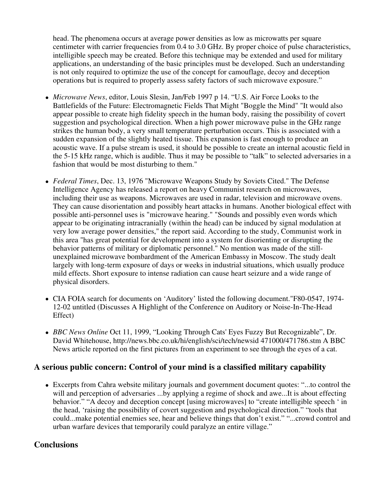head. The phenomena occurs at average power densities as low as microwatts per square centimeter with carrier frequencies from 0.4 to 3.0 GHz. By proper choice of pulse characteristics, intelligible speech may be created. Before this technique may be extended and used for military applications, an understanding of the basic principles must be developed. Such an understanding is not only required to optimize the use of the concept for camouflage, decoy and deception operations but is required to properly assess safety factors of such microwave exposure."

- *Microwave News*, editor, Louis Slesin, Jan/Feb 1997 p 14. "U.S. Air Force Looks to the Battlefields of the Future: Electromagnetic Fields That Might "Boggle the Mind" "It would also appear possible to create high fidelity speech in the human body, raising the possibility of covert suggestion and psychological direction. When a high power microwave pulse in the GHz range strikes the human body, a very small temperature perturbation occurs. This is associated with a sudden expansion of the slightly heated tissue. This expansion is fast enough to produce an acoustic wave. If a pulse stream is used, it should be possible to create an internal acoustic field in the 5-15 kHz range, which is audible. Thus it may be possible to "talk" to selected adversaries in a fashion that would be most disturbing to them."
- *Federal Times*, Dec. 13, 1976 "Microwave Weapons Study by Soviets Cited." The Defense Intelligence Agency has released a report on heavy Communist research on microwaves, including their use as weapons. Microwaves are used in radar, television and microwave ovens. They can cause disorientation and possibly heart attacks in humans. Another biological effect with possible anti-personnel uses is "microwave hearing." "Sounds and possibly even words which appear to be originating intracranially (within the head) can be induced by signal modulation at very low average power densities," the report said. According to the study, Communist work in this area "has great potential for development into a system for disorienting or disrupting the behavior patterns of military or diplomatic personnel." No mention was made of the stillunexplained microwave bombardment of the American Embassy in Moscow. The study dealt largely with long-term exposure of days or weeks in industrial situations, which usually produce mild effects. Short exposure to intense radiation can cause heart seizure and a wide range of physical disorders.
- CIA FOIA search for documents on 'Auditory' listed the following document."F80-0547, 1974- 12-02 untitled (Discusses A Highlight of the Conference on Auditory or Noise-In-The-Head Effect)
- *BBC News Online* Oct 11, 1999, "Looking Through Cats'Eyes Fuzzy But Recognizable", Dr. David Whitehouse, http://news.bbc.co.uk/hi/english/sci/tech/newsid 471000/471786.stm A BBC News article reported on the first pictures from an experiment to see through the eyes of a cat.

# **A serious public concern: Control of your mind is a classified military capability**

 Excerpts from Cahra website military journals and government document quotes: "...to control the will and perception of adversaries ...by applying a regime of shock and awe...It is about effecting behavior." "A decoy and deception concept [using microwaves] to "create intelligible speech ' in the head, 'raising the possibility of covert suggestion and psychological direction." "tools that could...make potential enemies see, hear and believe things that don't exist." "...crowd control and urban warfare devices that temporarily could paralyze an entire village."

# **Conclusions**